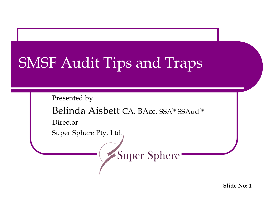# SMSF Audit Tips and Traps

Presented by

Belinda Aisbett CA. BAcc. SSA® SSAud®

Super Sphere

Director

Super Sphere Pty. Ltd.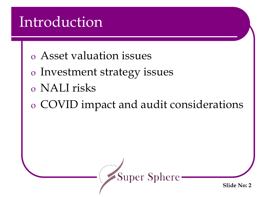## Introduction

- o Asset valuation issues
- o Investment strategy issues
- o NALI risks
- o COVID impact and audit considerations

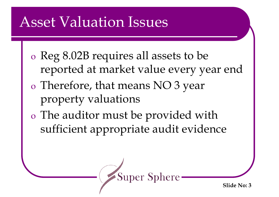## Asset Valuation Issues

- o Reg 8.02B requires all assets to be reported at market value every year end
- o Therefore, that means NO 3 year property valuations
- o The auditor must be provided with sufficient appropriate audit evidence

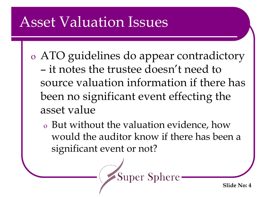### Asset Valuation Issues

- o ATO guidelines do appear contradictory – it notes the trustee doesn't need to source valuation information if there has been no significant event effecting the asset value
	- <sup>o</sup> But without the valuation evidence, how would the auditor know if there has been a significant event or not?

**Super Sphere**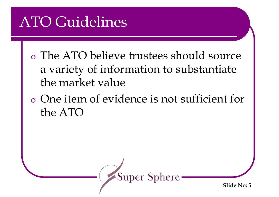## ATO Guidelines

- o The ATO believe trustees should source a variety of information to substantiate the market value
- o One item of evidence is not sufficient for the ATO

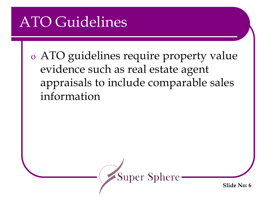## ATO Guidelines

o ATO guidelines require property value evidence such as real estate agent appraisals to include comparable sales information

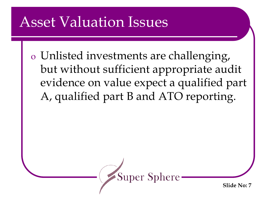## Asset Valuation Issues

o Unlisted investments are challenging, but without sufficient appropriate audit evidence on value expect a qualified part A, qualified part B and ATO reporting.

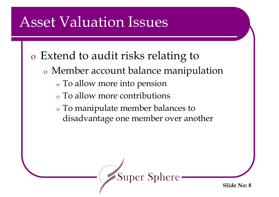## Asset Valuation Issues

- o Extend to audit risks relating to
	- <sup>o</sup> Member account balance manipulation
		- <sup>o</sup> To allow more into pension
		- <sup>o</sup> To allow more contributions
		- <sup>o</sup> To manipulate member balances to disadvantage one member over another

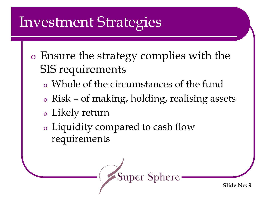- o Ensure the strategy complies with the SIS requirements
	- <sup>o</sup> Whole of the circumstances of the fund
	- <sup>o</sup> Risk of making, holding, realising assets
	- <sup>o</sup> Likely return
	- <sup>o</sup> Liquidity compared to cash flow requirements

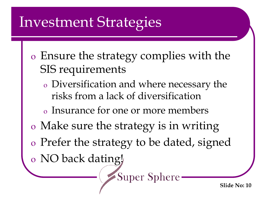- o Ensure the strategy complies with the SIS requirements
	- <sup>o</sup> Diversification and where necessary the risks from a lack of diversification
	- <sup>o</sup> Insurance for one or more members
- o Make sure the strategy is in writing
- o Prefer the strategy to be dated, signed

**Super Sphere** 

o NO back dating!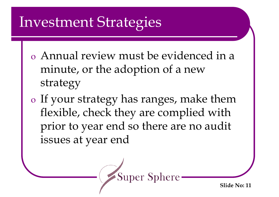- o Annual review must be evidenced in a minute, or the adoption of a new strategy
- o If your strategy has ranges, make them flexible, check they are complied with prior to year end so there are no audit issues at year end

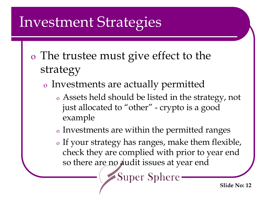- o The trustee must give effect to the strategy
	- <sup>o</sup> Investments are actually permitted
		- <sup>o</sup> Assets held should be listed in the strategy, not just allocated to "other" - crypto is a good example
		- <sup>o</sup> Investments are within the permitted ranges
		- <sup>o</sup> If your strategy has ranges, make them flexible, check they are complied with prior to year end so there are no audit issues at year end

**Super Sphere**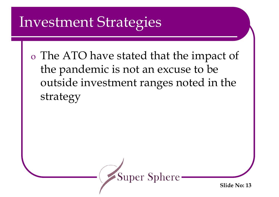o The ATO have stated that the impact of the pandemic is not an excuse to be outside investment ranges noted in the strategy

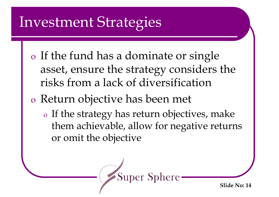- o If the fund has a dominate or single asset, ensure the strategy considers the risks from a lack of diversification
- o Return objective has been met
	- <sup>o</sup> If the strategy has return objectives, make them achievable, allow for negative returns or omit the objective

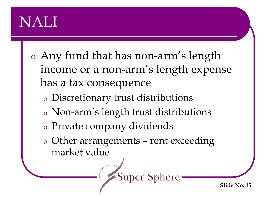## NALI

- o Any fund that has non-arm's length income or a non-arm's length expense has a tax consequence
	- <sup>o</sup> Discretionary trust distributions
	- <sup>o</sup> Non-arm's length trust distributions
	- <sup>o</sup> Private company dividends
	- <sup>o</sup> Other arrangements rent exceeding market value

**Super Sphere**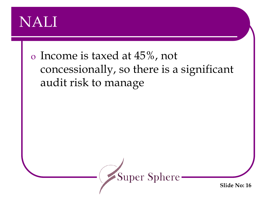#### NALI

#### o Income is taxed at 45%, not concessionally, so there is a significant audit risk to manage

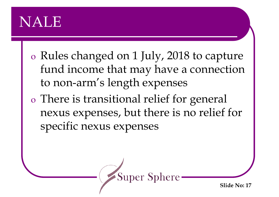- o Rules changed on 1 July, 2018 to capture fund income that may have a connection to non-arm's length expenses
- o There is transitional relief for general nexus expenses, but there is no relief for specific nexus expenses

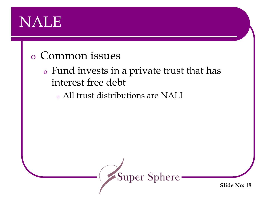#### o Common issues

#### <sup>o</sup> Fund invests in a private trust that has interest free debt

#### <sup>o</sup> All trust distributions are NALI

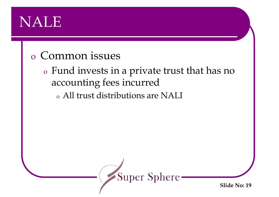#### o Common issues

<sup>o</sup> Fund invests in a private trust that has no accounting fees incurred <sup>o</sup> All trust distributions are NALI

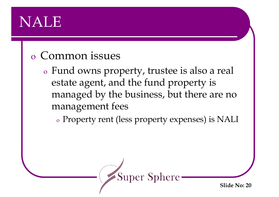#### o Common issues

<sup>o</sup> Fund owns property, trustee is also a real estate agent, and the fund property is managed by the business, but there are no management fees

<sup>o</sup> Property rent (less property expenses) is NALI

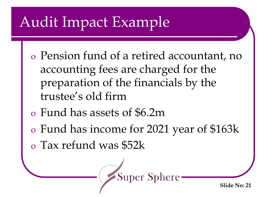- o Pension fund of a retired accountant, no accounting fees are charged for the preparation of the financials by the trustee's old firm
- o Fund has assets of \$6.2m
- o Fund has income for 2021 year of \$163k

**Super Sphere** 

o Tax refund was \$52k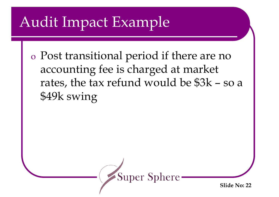o Post transitional period if there are no accounting fee is charged at market rates, the tax refund would be \$3k – so a \$49k swing

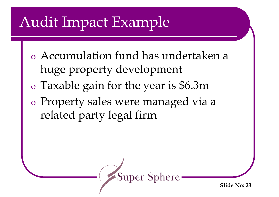- o Accumulation fund has undertaken a huge property development
- o Taxable gain for the year is \$6.3m
- o Property sales were managed via a related party legal firm

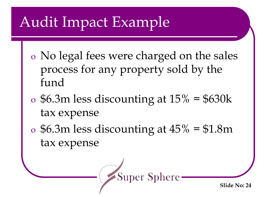- o No legal fees were charged on the sales process for any property sold by the fund
- $\sigma$  \$6.3m less discounting at  $15\%$  = \$630k tax expense
- $\sigma$  \$6.3m less discounting at  $45\%$  = \$1.8m tax expense

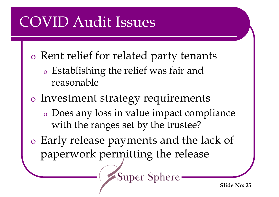# COVID Audit Issues

- o Rent relief for related party tenants
	- <sup>o</sup> Establishing the relief was fair and reasonable
- o Investment strategy requirements
	- <sup>o</sup> Does any loss in value impact compliance with the ranges set by the trustee?

**Super Sphere** 

o Early release payments and the lack of paperwork permitting the release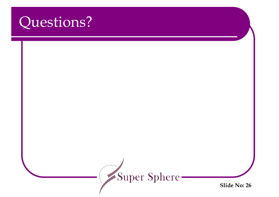#### Questions?